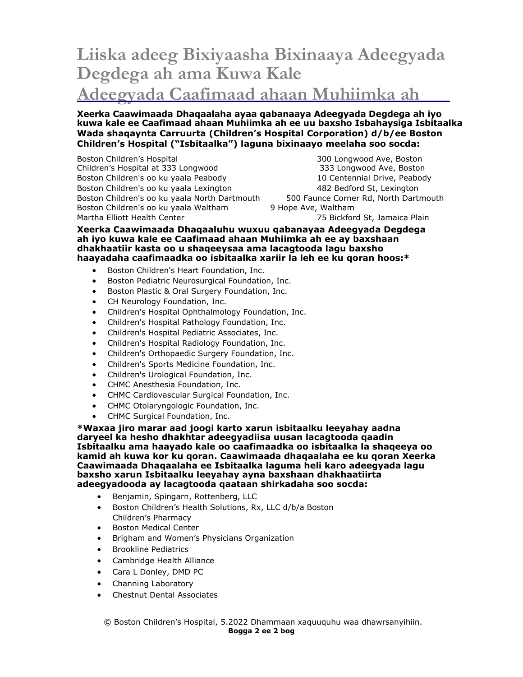## **Liiska adeeg Bixiyaasha Bixinaaya Adeegyada Degdega ah ama Kuwa Kale Adeegyada Caafimaad ahaan Muhiimka ah**

**Xeerka Caawimaada Dhaqaalaha ayaa qabanaaya Adeegyada Degdega ah iyo kuwa kale ee Caafimaad ahaan Muhiimka ah ee uu baxsho Isbahaysiga Isbitaalka Wada shaqaynta Carruurta (Children's Hospital Corporation) d/b/ee Boston Children's Hospital ("Isbitaalka") laguna bixinaayo meelaha soo socda:**

Boston Children's Hospital 300 Longwood Ave, Boston Children's Hospital at 333 Longwood 333 Longwood Ave, Boston Boston Children's oo ku yaala Peabody 10 Centennial Drive, Peabody Boston Children's oo ku yaala Lexington 482 Bedford St, Lexington Boston Children's oo ku yaala North Dartmouth 500 Faunce Corner Rd, North Dartmouth Boston Children's oo ku yaala Waltham 9 Hope Ave, Waltham Martha Elliott Health Center 75 Bickford St, Jamaica Plain

**Xeerka Caawimaada Dhaqaaluhu wuxuu qabanayaa Adeegyada Degdega ah iyo kuwa kale ee Caafimaad ahaan Muhiimka ah ee ay baxshaan dhakhaatiir kasta oo u shaqeeysaa ama lacagtooda lagu baxsho haayadaha caafimaadka oo isbitaalka xariir la leh ee ku qoran hoos:\***

- **•** Boston Children's Heart Foundation, Inc.
- **•** Boston Pediatric Neurosurgical Foundation, Inc.
- **•** Boston Plastic & Oral Surgery Foundation, Inc.
- CH Neurology Foundation, Inc.
- Children's Hospital Ophthalmology Foundation, Inc.
- Children's Hospital Pathology Foundation, Inc.
- Children's Hospital Pediatric Associates, Inc.
- Children's Hospital Radiology Foundation, Inc.
- Children's Orthopaedic Surgery Foundation, Inc.
- Children's Sports Medicine Foundation, Inc.
- Children's Urological Foundation, Inc.
- CHMC Anesthesia Foundation, Inc.
- CHMC Cardiovascular Surgical Foundation, Inc.
- CHMC Otolaryngologic Foundation, Inc.
- CHMC Surgical Foundation, Inc.

**\*Waxaa jiro marar aad joogi karto xarun isbitaalku leeyahay aadna daryeel ka hesho dhakhtar adeegyadiisa uusan lacagtooda qaadin Isbitaalku ama haayado kale oo caafimaadka oo isbitaalka la shaqeeya oo kamid ah kuwa kor ku qoran. Caawimaada dhaqaalaha ee ku qoran Xeerka Caawimaada Dhaqaalaha ee Isbitaalka laguma heli karo adeegyada lagu baxsho xarun Isbitaalku leeyahay ayna baxshaan dhakhaatiirta adeegyadooda ay lacagtooda qaataan shirkadaha soo socda:**

- Benjamin, Spingarn, Rottenberg, LLC
- Boston Children's Health Solutions, Rx, LLC d/b/a Boston Children's Pharmacy
- Boston Medical Center
- Brigham and Women's Physicians Organization
- Brookline Pediatrics
- Cambridge Health Alliance
- Cara L Donley, DMD PC
- Channing Laboratory
- Chestnut Dental Associates

© Boston Children's Hospital, 5.2022 Dhammaan xaquuquhu waa dhawrsanyihiin. **Bogga 2 ee 2 bog**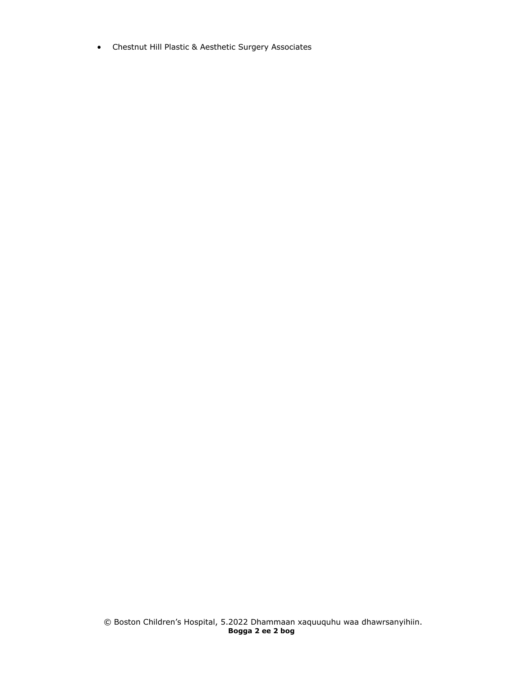Chestnut Hill Plastic & Aesthetic Surgery Associates

© Boston Children's Hospital, 5.2022 Dhammaan xaquuquhu waa dhawrsanyihiin. **Bogga 2 ee 2 bog**